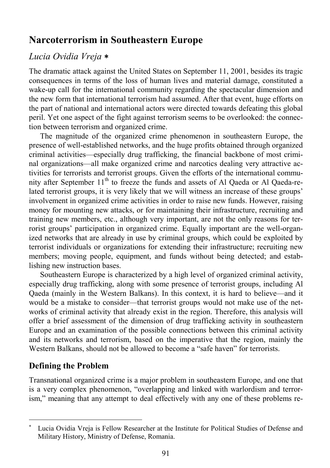# **Narcoterrorism in Southeastern Europe**

## *Lucia Ovidia Vreja* ∗

The dramatic attack against the United States on September 11, 2001, besides its tragic consequences in terms of the loss of human lives and material damage, constituted a wake-up call for the international community regarding the spectacular dimension and the new form that international terrorism had assumed. After that event, huge efforts on the part of national and international actors were directed towards defeating this global peril. Yet one aspect of the fight against terrorism seems to be overlooked: the connection between terrorism and organized crime.

The magnitude of the organized crime phenomenon in southeastern Europe, the presence of well-established networks, and the huge profits obtained through organized criminal activities—especially drug trafficking, the financial backbone of most criminal organizations—all make organized crime and narcotics dealing very attractive activities for terrorists and terrorist groups. Given the efforts of the international community after September  $11<sup>th</sup>$  to freeze the funds and assets of Al Qaeda or Al Qaeda-related terrorist groups, it is very likely that we will witness an increase of these groups' involvement in organized crime activities in order to raise new funds. However, raising money for mounting new attacks, or for maintaining their infrastructure, recruiting and training new members, etc., although very important, are not the only reasons for terrorist groups' participation in organized crime. Equally important are the well-organized networks that are already in use by criminal groups, which could be exploited by terrorist individuals or organizations for extending their infrastructure; recruiting new members; moving people, equipment, and funds without being detected; and establishing new instruction bases.

Southeastern Europe is characterized by a high level of organized criminal activity, especially drug trafficking, along with some presence of terrorist groups, including Al Qaeda (mainly in the Western Balkans). In this context, it is hard to believe—and it would be a mistake to consider—that terrorist groups would not make use of the networks of criminal activity that already exist in the region. Therefore, this analysis will offer a brief assessment of the dimension of drug trafficking activity in southeastern Europe and an examination of the possible connections between this criminal activity and its networks and terrorism, based on the imperative that the region, mainly the Western Balkans, should not be allowed to become a "safe haven" for terrorists.

## **Defining the Problem**

 $\overline{a}$ 

Transnational organized crime is a major problem in southeastern Europe, and one that is a very complex phenomenon, "overlapping and linked with warlordism and terrorism," meaning that any attempt to deal effectively with any one of these problems re-

<sup>∗</sup> Lucia Ovidia Vreja is Fellow Researcher at the Institute for Political Studies of Defense and Military History, Ministry of Defense, Romania.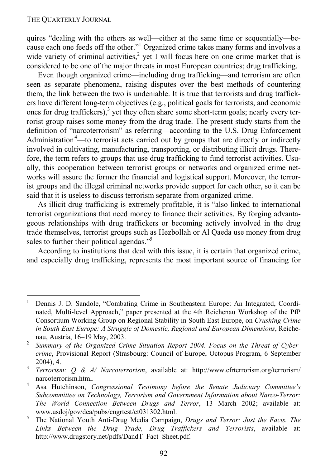#### THE QUARTERLY JOURNAL

-

quires "dealing with the others as well—either at the same time or sequentially—because each one feeds off the other."<sup>1</sup> Organized crime takes many forms and involves a wide variety of criminal activities,<sup>2</sup> yet I will focus here on one crime market that is considered to be one of the major threats in most European countries; drug trafficking.

Even though organized crime—including drug trafficking—and terrorism are often seen as separate phenomena, raising disputes over the best methods of countering them, the link between the two is undeniable. It is true that terrorists and drug traffickers have different long-term objectives (e.g., political goals for terrorists, and economic ones for drug traffickers), $3$  yet they often share some short-term goals; nearly every terrorist group raises some money from the drug trade. The present study starts from the definition of "narcoterrorism" as referring—according to the U.S. Drug Enforcement Administration<sup>4</sup>—to terrorist acts carried out by groups that are directly or indirectly involved in cultivating, manufacturing, transporting, or distributing illicit drugs. Therefore, the term refers to groups that use drug trafficking to fund terrorist activities. Usually, this cooperation between terrorist groups or networks and organized crime networks will assure the former the financial and logistical support. Moreover, the terrorist groups and the illegal criminal networks provide support for each other, so it can be said that it is useless to discuss terrorism separate from organized crime.

As illicit drug trafficking is extremely profitable, it is "also linked to international terrorist organizations that need money to finance their activities. By forging advantageous relationships with drug traffickers or becoming actively involved in the drug trade themselves, terrorist groups such as Hezbollah or Al Qaeda use money from drug sales to further their political agendas."<sup>5</sup>

According to institutions that deal with this issue, it is certain that organized crime, and especially drug trafficking, represents the most important source of financing for

<sup>1</sup> Dennis J. D. Sandole, "Combating Crime in Southeastern Europe: An Integrated, Coordinated, Multi-level Approach," paper presented at the 4th Reichenau Workshop of the PfP Consortium Working Group on Regional Stability in South East Europe, on *Crushing Crime in South East Europe: A Struggle of Domestic, Regional and European Dimensions*, Reichenau, Austria, 16–19 May, 2003.<br><sup>2</sup> *Summary of the Organized Crime Situation Report 2004. Focus on the Threat of Cyber-*

*crime*, Provisional Report (Strasbourg: Council of Europe, Octopus Program, 6 September 2004), 4. 3 *Terrorism: Q & A/ Narcoterrorism*, available at: http://www.cfrterrorism.org/terrorism/

narcoterrorism.html.<br> $\frac{4}{100}$  Mutchinson

Asa Hutchinson, *Congressional Testimony before the Senate Judiciary Committee's Subcommittee on Technology, Terrorism and Government Information about Narco-Terror: The World Connection Between Drugs and Terror*, 13 March 2002; available at: www.usdoj/gov/dea/pubs/cngrtest/ct031302.html. 5

The National Youth Anti-Drug Media Campaign, *Drugs and Terror: Just the Facts. The Links Between the Drug Trade, Drug Traffickers and Terrorists*, available at: http://www.drugstory.net/pdfs/DandT\_Fact\_Sheet.pdf.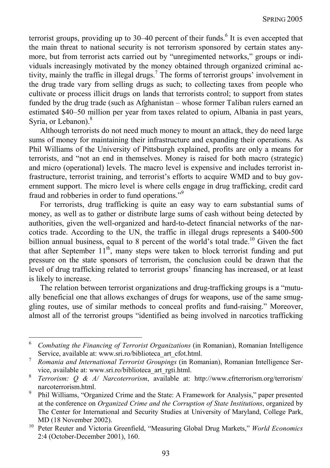terrorist groups, providing up to  $30-40$  percent of their funds.<sup>6</sup> It is even accepted that the main threat to national security is not terrorism sponsored by certain states anymore, but from terrorist acts carried out by "unregimented networks," groups or individuals increasingly motivated by the money obtained through organized criminal activity, mainly the traffic in illegal drugs.<sup>7</sup> The forms of terrorist groups' involvement in the drug trade vary from selling drugs as such; to collecting taxes from people who cultivate or process illicit drugs on lands that terrorists control; to support from states funded by the drug trade (such as Afghanistan – whose former Taliban rulers earned an estimated \$40–50 million per year from taxes related to opium, Albania in past years, Syria, or Lebanon).<sup>8</sup>

Although terrorists do not need much money to mount an attack, they do need large sums of money for maintaining their infrastructure and expanding their operations. As Phil Williams of the University of Pittsburgh explained, profits are only a means for terrorists, and "not an end in themselves. Money is raised for both macro (strategic) and micro (operational) levels. The macro level is expensive and includes terrorist infrastructure, terrorist training, and terrorist's efforts to acquire WMD and to buy government support. The micro level is where cells engage in drug trafficking, credit card fraud and robberies in order to fund operations."<sup>9</sup>

For terrorists, drug trafficking is quite an easy way to earn substantial sums of money, as well as to gather or distribute large sums of cash without being detected by authorities, given the well-organized and hard-to-detect financial networks of the narcotics trade. According to the UN, the traffic in illegal drugs represents a \$400-500 billion annual business, equal to 8 percent of the world's total trade.<sup>10</sup> Given the fact that after September  $11<sup>th</sup>$ , many steps were taken to block terrorist funding and put pressure on the state sponsors of terrorism, the conclusion could be drawn that the level of drug trafficking related to terrorist groups' financing has increased, or at least is likely to increase.

The relation between terrorist organizations and drug-trafficking groups is a "mutually beneficial one that allows exchanges of drugs for weapons, use of the same smuggling routes, use of similar methods to conceal profits and fund-raising." Moreover, almost all of the terrorist groups "identified as being involved in narcotics trafficking

<sup>6</sup> *Combating the Financing of Terrorist Organizations* (in Romanian), Romanian Intelligence Service, available at: www.sri.ro/biblioteca\_art\_cfot.html. 7 *Romania and International Terrorist Groupings* (in Romanian), Romanian Intelligence Ser-

vice, available at: www.sri.ro/biblioteca\_art\_rgti.html. 8 *Terrorism: Q & A/ Narcoterrorism*, available at: http://www.cfrterrorism.org/terrorism/

narcoterrorism.html.<br> $9 \tPhi_{11}$  Williams "Organization"

Phil Williams, "Organized Crime and the State: A Framework for Analysis," paper presented at the conference on *Organized Crime and the Corruption of State Institutions*, organized by The Center for International and Security Studies at University of Maryland, College Park,

MD (18 November 2002). 10 Peter Reuter and Victoria Greenfield, "Measuring Global Drug Markets," *World Economics* 2:4 (October-December 2001), 160.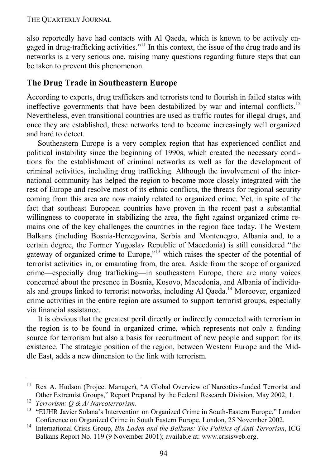#### THE QUARTERLY JOURNAL

also reportedly have had contacts with Al Qaeda, which is known to be actively engaged in drug-trafficking activities."11 In this context, the issue of the drug trade and its networks is a very serious one, raising many questions regarding future steps that can be taken to prevent this phenomenon.

## **The Drug Trade in Southeastern Europe**

According to experts, drug traffickers and terrorists tend to flourish in failed states with ineffective governments that have been destabilized by war and internal conflicts.<sup>12</sup> Nevertheless, even transitional countries are used as traffic routes for illegal drugs, and once they are established, these networks tend to become increasingly well organized and hard to detect.

Southeastern Europe is a very complex region that has experienced conflict and political instability since the beginning of 1990s, which created the necessary conditions for the establishment of criminal networks as well as for the development of criminal activities, including drug trafficking. Although the involvement of the international community has helped the region to become more closely integrated with the rest of Europe and resolve most of its ethnic conflicts, the threats for regional security coming from this area are now mainly related to organized crime. Yet, in spite of the fact that southeast European countries have proven in the recent past a substantial willingness to cooperate in stabilizing the area, the fight against organized crime remains one of the key challenges the countries in the region face today. The Western Balkans (including Bosnia-Herzegovina, Serbia and Montenegro, Albania and, to a certain degree, the Former Yugoslav Republic of Macedonia) is still considered "the gateway of organized crime to Europe," $\frac{1}{3}$  which raises the specter of the potential of terrorist activities in, or emanating from, the area. Aside from the scope of organized crime—especially drug trafficking—in southeastern Europe, there are many voices concerned about the presence in Bosnia, Kosovo, Macedonia, and Albania of individuals and groups linked to terrorist networks, including Al Qaeda.<sup>14</sup> Moreover, organized crime activities in the entire region are assumed to support terrorist groups, especially via financial assistance.

It is obvious that the greatest peril directly or indirectly connected with terrorism in the region is to be found in organized crime, which represents not only a funding source for terrorism but also a basis for recruitment of new people and support for its existence. The strategic position of the region, between Western Europe and the Middle East, adds a new dimension to the link with terrorism.

<sup>&</sup>lt;sup>11</sup> Rex A. Hudson (Project Manager), "A Global Overview of Narcotics-funded Terrorist and Other Extremist Groups," Report Prepared by the Federal Research Division, May 2002, 1.<br><sup>12</sup> *Terrorism: Q & A/Narcoterrorism.*<br><sup>13</sup> "EUHR Javier Solana's Intervention on Organized Crime in South-Eastern Europe," London

Conference on Organized Crime in South Eastern Europe, London, 25 November 2002. 14 International Crisis Group, *Bin Laden and the Balkans: The Politics of Anti-Terrorism*, ICG Balkans Report No. 119 (9 November 2001); available at: www.crisisweb.org.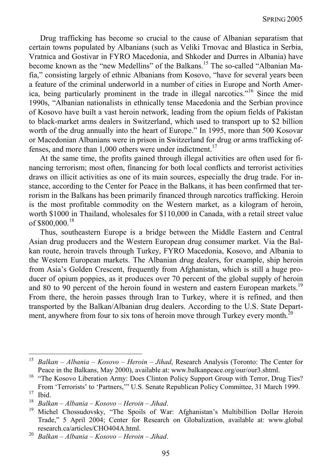Drug trafficking has become so crucial to the cause of Albanian separatism that certain towns populated by Albanians (such as Veliki Trnovac and Blastica in Serbia, Vratnica and Gostivar in FYRO Macedonia, and Shkoder and Durres in Albania) have become known as the "new Medellins" of the Balkans.<sup>15</sup> The so-called "Albanian Mafia," consisting largely of ethnic Albanians from Kosovo, "have for several years been a feature of the criminal underworld in a number of cities in Europe and North America, being particularly prominent in the trade in illegal narcotics."16 Since the mid 1990s, "Albanian nationalists in ethnically tense Macedonia and the Serbian province of Kosovo have built a vast heroin network, leading from the opium fields of Pakistan to black-market arms dealers in Switzerland, which used to transport up to \$2 billion worth of the drug annually into the heart of Europe." In 1995, more than 500 Kosovar or Macedonian Albanians were in prison in Switzerland for drug or arms trafficking offenses, and more than  $1,000$  others were under indictment.<sup>17</sup>

At the same time, the profits gained through illegal activities are often used for financing terrorism; most often, financing for both local conflicts and terrorist activities draws on illicit activities as one of its main sources, especially the drug trade. For instance, according to the Center for Peace in the Balkans, it has been confirmed that terrorism in the Balkans has been primarily financed through narcotics trafficking. Heroin is the most profitable commodity on the Western market, as a kilogram of heroin, worth \$1000 in Thailand, wholesales for \$110,000 in Canada, with a retail street value of  $$800,000.<sup>18</sup>$ 

Thus, southeastern Europe is a bridge between the Middle Eastern and Central Asian drug producers and the Western European drug consumer market. Via the Balkan route, heroin travels through Turkey, FYRO Macedonia, Kosovo, and Albania to the Western European markets. The Albanian drug dealers, for example, ship heroin from Asia's Golden Crescent, frequently from Afghanistan, which is still a huge producer of opium poppies, as it produces over 70 percent of the global supply of heroin and 80 to 90 percent of the heroin found in western and eastern European markets.<sup>19</sup> From there, the heroin passes through Iran to Turkey, where it is refined, and then transported by the Balkan/Albanian drug dealers. According to the U.S. State Department, anywhere from four to six tons of heroin move through Turkey every month.<sup>20</sup>

<sup>15</sup> *Balkan – Albania – Kosovo – Heroin – Jihad*, Research Analysis (Toronto: The Center for

Peace in the Balkans, May 2000), available at: www.balkanpeace.org/our/our3.shtml. 16 "The Kosovo Liberation Army: Does Clinton Policy Support Group with Terror, Drug Ties? From 'Terrorists' to 'Partners,'" U.S. Senate Republican Policy Committee, 31 March 1999.<br>
<sup>17</sup> Ibid.<br>
<sup>18</sup> Pallam Albania, Kessus, Hansin, Ibad.

*Balkan – Albania – Kosovo – Heroin – Jihad.* 19 Michel Chossudovsky, "The Spoils of War: Afghanistan's Multibillion Dollar Heroin Trade," 5 April 2004; Center for Research on Globalization, available at: www.global research.ca/articles/CHO404A.html. 20 *Balkan – Albania – Kosovo – Heroin – Jihad*.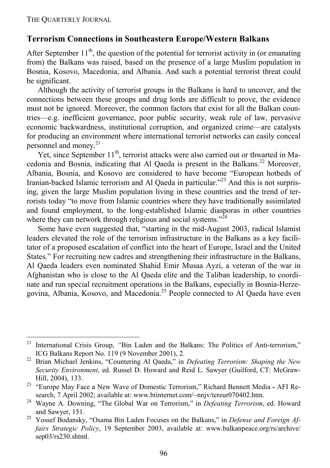-

### **Terrorism Connections in Southeastern Europe/Western Balkans**

After September  $11<sup>th</sup>$ , the question of the potential for terrorist activity in (or emanating from) the Balkans was raised, based on the presence of a large Muslim population in Bosnia, Kosovo, Macedonia, and Albania. And such a potential terrorist threat could be significant.

Although the activity of terrorist groups in the Balkans is hard to uncover, and the connections between these groups and drug lords are difficult to prove, the evidence must not be ignored. Moreover, the common factors that exist for all the Balkan countries—e.g. inefficient governance, poor public security, weak rule of law, pervasive economic backwardness, institutional corruption, and organized crime—are catalysts for producing an environment where international terrorist networks can easily conceal personnel and money.<sup>21</sup>

Yet, since September  $11<sup>th</sup>$ , terrorist attacks were also carried out or thwarted in Macedonia and Bosnia, indicating that Al Qaeda is present in the Balkans.<sup>22</sup> Moreover, Albania, Bosnia, and Kosovo are considered to have become "European hotbeds of Iranian-backed Islamic terrorism and Al Qaeda in particular.<sup>223</sup> And this is not surprising, given the large Muslim population living in these countries and the trend of terrorists today "to move from Islamic countries where they have traditionally assimilated and found employment, to the long-established Islamic diasporas in other countries where they can network through religious and social systems.<sup> $24$ </sup>

Some have even suggested that, "starting in the mid-August 2003, radical Islamist leaders elevated the role of the terrorism infrastructure in the Balkans as a key facilitator of a proposed escalation of conflict into the heart of Europe, Israel and the United States." For recruiting new cadres and strengthening their infrastructure in the Balkans, Al Qaeda leaders even nominated Shahid Emir Musaa Ayzi, a veteran of the war in Afghanistan who is close to the Al Qaeda elite and the Taliban leadership, to coordinate and run special recruitment operations in the Balkans, especially in Bosnia-Herzegovina, Albania, Kosovo, and Macedonia.25 People connected to Al Qaeda have even

<sup>&</sup>lt;sup>21</sup> International Crisis Group, "Bin Laden and the Balkans: The Politics of Anti-terrorism," ICG Balkans Report No. 119 (9 November 2001), 2. 22 Brian Michael Jenkins, "Countering Al Qaeda," in *Defeating Terrorism: Shaping the New* 

*Security Environment*, ed. Russel D. Howard and Reid L. Sawyer (Guilford, CT: McGraw-Hill, 2004), 133. 23 "Europe May Face a New Wave of Domestic Terrorism," Richard Bennett Media **-** AFI Re-

search, 7 April 2002; available at: www.btinternet.com/~nnjv/tereur070402.htm. 24 Wayne A. Downing, "The Global War on Terrorism," in *Defeating Terrorism*, ed. Howard and Sawyer, 151. 25 Yossef Bodansky, "Osama Bin Laden Focuses on the Balkans," in *Defense and Foreign Af-*

*fairs Strategic Policy*, 19 September 2003, available at: www.balkanpeace.org/rs/archive/ sep03/rs230.shtml.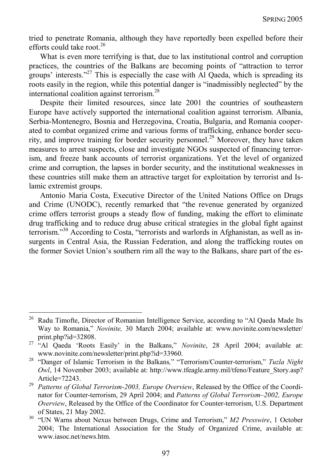tried to penetrate Romania, although they have reportedly been expelled before their efforts could take root.<sup>26</sup>

What is even more terrifying is that, due to lax institutional control and corruption practices, the countries of the Balkans are becoming points of "attraction to terror groups' interests."<sup>27</sup> This is especially the case with Al Qaeda, which is spreading its roots easily in the region, while this potential danger is "inadmissibly neglected" by the international coalition against terrorism.<sup>28</sup>

Despite their limited resources, since late 2001 the countries of southeastern Europe have actively supported the international coalition against terrorism. Albania, Serbia-Montenegro, Bosnia and Herzegovina, Croatia, Bulgaria, and Romania cooperated to combat organized crime and various forms of trafficking, enhance border security, and improve training for border security personnel.<sup>29</sup> Moreover, they have taken measures to arrest suspects, close and investigate NGOs suspected of financing terrorism, and freeze bank accounts of terrorist organizations. Yet the level of organized crime and corruption, the lapses in border security, and the institutional weaknesses in these countries still make them an attractive target for exploitation by terrorist and Islamic extremist groups.

Antonio Maria Costa, Executive Director of the United Nations Office on Drugs and Crime (UNODC), recently remarked that "the revenue generated by organized crime offers terrorist groups a steady flow of funding, making the effort to eliminate drug trafficking and to reduce drug abuse critical strategies in the global fight against terrorism."<sup>30</sup> According to Costa, "terrorists and warlords in Afghanistan, as well as insurgents in Central Asia, the Russian Federation, and along the trafficking routes on the former Soviet Union's southern rim all the way to the Balkans, share part of the es-

<sup>&</sup>lt;sup>26</sup> Radu Timofte, Director of Romanian Intelligence Service, according to "Al Qaeda Made Its Way to Romania," *Novinite,* 30 March 2004; available at: www.novinite.com/newsletter/

print.php?id=32808. 27 "Al Qaeda 'Roots Easily' in the Balkans," *Novinite*, 28 April 2004; available at:

www.novinite.com/newsletter/print.php?id=33960. 28 "Danger of Islamic Terrorism in the Balkans*,*" "Terrorism/Counter-terrorism," *Tuzla Night Owl*, 14 November 2003; available at: http://www.tfeagle.army.mil/tfeno/Feature\_Story.asp?

Article=72243. 29 *Patterns of Global Terrorism-2003, Europe Overview*, Released by the Office of the Coordinator for Counter-terrorism, 29 April 2004; and *Patterns of Global Terrorism–2002, Europe Overview*, Released by the Office of the Coordinator for Counter-terrorism, U.S. Department

of States, 21 May 2002. 30 "UN Warns about Nexus between Drugs, Crime and Terrorism," *M2 Presswire*, 1 October 2004; The International Association for the Study of Organized Crime, available at: www.iasoc.net/news.htm.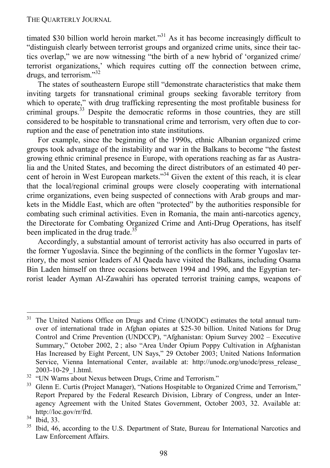timated \$30 billion world heroin market."<sup>31</sup> As it has become increasingly difficult to "distinguish clearly between terrorist groups and organized crime units, since their tactics overlap," we are now witnessing "the birth of a new hybrid of 'organized crime/ terrorist organizations,' which requires cutting off the connection between crime, drugs, and terrorism."<sup>32</sup>

The states of southeastern Europe still "demonstrate characteristics that make them inviting targets for transnational criminal groups seeking favorable territory from which to operate," with drug trafficking representing the most profitable business for criminal groups.33 Despite the democratic reforms in those countries, they are still considered to be hospitable to transnational crime and terrorism, very often due to corruption and the ease of penetration into state institutions.

For example, since the beginning of the 1990s, ethnic Albanian organized crime groups took advantage of the instability and war in the Balkans to become "the fastest growing ethnic criminal presence in Europe, with operations reaching as far as Australia and the United States, and becoming the direct distributors of an estimated 40 percent of heroin in West European markets."<sup>34</sup> Given the extent of this reach, it is clear that the local/regional criminal groups were closely cooperating with international crime organizations, even being suspected of connections with Arab groups and markets in the Middle East, which are often "protected" by the authorities responsible for combating such criminal activities. Even in Romania, the main anti-narcotics agency, the Directorate for Combating Organized Crime and Anti-Drug Operations, has itself been implicated in the drug trade.<sup>35</sup>

Accordingly, a substantial amount of terrorist activity has also occurred in parts of the former Yugoslavia. Since the beginning of the conflicts in the former Yugoslav territory, the most senior leaders of Al Qaeda have visited the Balkans, including Osama Bin Laden himself on three occasions between 1994 and 1996, and the Egyptian terrorist leader Ayman Al-Zawahiri has operated terrorist training camps, weapons of

1

<sup>&</sup>lt;sup>31</sup> The United Nations Office on Drugs and Crime (UNODC) estimates the total annual turnover of international trade in Afghan opiates at \$25-30 billion. United Nations for Drug Control and Crime Prevention (UNDCCP), "Afghanistan: Opium Survey 2002 – Executive Summary," October 2002, 2 ; also "Area Under Opium Poppy Cultivation in Afghanistan Has Increased by Eight Percent, UN Says," 29 October 2003; United Nations Information Service, Vienna International Center, available at: http://unodc.org/unodc/press\_release\_ 2003-10-29\_1.html.

<sup>&</sup>lt;sup>32</sup> "UN Warns about Nexus between Drugs, Crime and Terrorism."

<sup>&</sup>lt;sup>33</sup> Glenn E. Curtis (Project Manager), "Nations Hospitable to Organized Crime and Terrorism," Report Prepared by the Federal Research Division, Library of Congress, under an Interagency Agreement with the United States Government, October 2003, 32. Available at: http://loc.gov/rr/frd.<br> $^{34}$  Ibid, 33.<br> $^{35}$  Ibid, 46. according.

<sup>35</sup> Ibid, 46, according to the U.S. Department of State, Bureau for International Narcotics and Law Enforcement Affairs.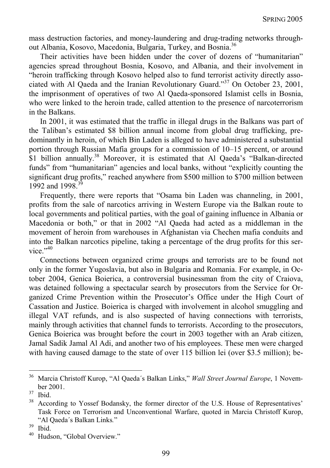mass destruction factories, and money-laundering and drug-trading networks throughout Albania, Kosovo, Macedonia, Bulgaria, Turkey, and Bosnia.36

Their activities have been hidden under the cover of dozens of "humanitarian" agencies spread throughout Bosnia, Kosovo, and Albania, and their involvement in "heroin trafficking through Kosovo helped also to fund terrorist activity directly associated with Al Qaeda and the Iranian Revolutionary Guard."37 On October 23, 2001, the imprisonment of operatives of two Al Qaeda-sponsored Islamist cells in Bosnia, who were linked to the heroin trade, called attention to the presence of narcoterrorism in the Balkans.

In 2001, it was estimated that the traffic in illegal drugs in the Balkans was part of the Taliban's estimated \$8 billion annual income from global drug trafficking, predominantly in heroin, of which Bin Laden is alleged to have administered a substantial portion through Russian Mafia groups for a commission of 10–15 percent, or around \$1 billion annually.<sup>38</sup> Moreover, it is estimated that Al Qaeda's "Balkan-directed funds" from "humanitarian" agencies and local banks, without "explicitly counting the significant drug profits," reached anywhere from \$500 million to \$700 million between 1992 and 1998<sup>39</sup>

Frequently, there were reports that "Osama bin Laden was channeling, in 2001, profits from the sale of narcotics arriving in Western Europe via the Balkan route to local governments and political parties, with the goal of gaining influence in Albania or Macedonia or both," or that in 2002 "Al Qaeda had acted as a middleman in the movement of heroin from warehouses in Afghanistan via Chechen mafia conduits and into the Balkan narcotics pipeline, taking a percentage of the drug profits for this service $"$ <sup>40</sup>

Connections between organized crime groups and terrorists are to be found not only in the former Yugoslavia, but also in Bulgaria and Romania. For example, in October 2004, Genica Boierica, a controversial businessman from the city of Craiova, was detained following a spectacular search by prosecutors from the Service for Organized Crime Prevention within the Prosecutor's Office under the High Court of Cassation and Justice. Boierica is charged with involvement in alcohol smuggling and illegal VAT refunds, and is also suspected of having connections with terrorists, mainly through activities that channel funds to terrorists. According to the prosecutors, Genica Boierica was brought before the court in 2003 together with an Arab citizen, Jamal Sadik Jamal Al Adi, and another two of his employees. These men were charged with having caused damage to the state of over 115 billion lei (over \$3.5 million); be-

<sup>36</sup> Marcia Christoff Kurop, "Al Qaeda´s Balkan Links," *Wall Street Journal Europe*, 1 November 2001.<br> $37 \text{ hid}$ 

<sup>&</sup>lt;sup>38</sup> According to Yossef Bodansky, the former director of the U.S. House of Representatives' Task Force on Terrorism and Unconventional Warfare, quoted in Marcia Christoff Kurop, "Al Qaeda´s Balkan Links*.*" 39 Ibid.

Hudson, "Global Overview."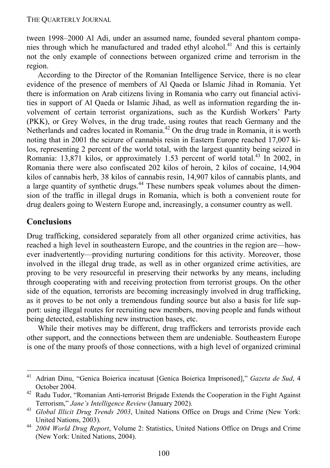tween 1998–2000 Al Adi, under an assumed name, founded several phantom companies through which he manufactured and traded ethyl alcohol.<sup>41</sup> And this is certainly not the only example of connections between organized crime and terrorism in the region.

According to the Director of the Romanian Intelligence Service, there is no clear evidence of the presence of members of Al Qaeda or Islamic Jihad in Romania. Yet there is information on Arab citizens living in Romania who carry out financial activities in support of Al Qaeda or Islamic Jihad, as well as information regarding the involvement of certain terrorist organizations, such as the Kurdish Workers' Party (PKK), or Grey Wolves, in the drug trade, using routes that reach Germany and the Netherlands and cadres located in Romania.42 On the drug trade in Romania, it is worth noting that in 2001 the seizure of cannabis resin in Eastern Europe reached 17,007 kilos, representing 2 percent of the world total, with the largest quantity being seized in Romania: 13,871 kilos, or approximately 1.53 percent of world total.<sup>43</sup> In 2002, in Romania there were also confiscated 202 kilos of heroin, 2 kilos of cocaine, 14,904 kilos of cannabis herb, 38 kilos of cannabis resin, 14,907 kilos of cannabis plants, and a large quantity of synthetic drugs.<sup>44</sup> These numbers speak volumes about the dimension of the traffic in illegal drugs in Romania, which is both a convenient route for drug dealers going to Western Europe and, increasingly, a consumer country as well.

### **Conclusions**

1

Drug trafficking, considered separately from all other organized crime activities, has reached a high level in southeastern Europe, and the countries in the region are—however inadvertently—providing nurturing conditions for this activity. Moreover, those involved in the illegal drug trade, as well as in other organized crime activities, are proving to be very resourceful in preserving their networks by any means, including through cooperating with and receiving protection from terrorist groups. On the other side of the equation, terrorists are becoming increasingly involved in drug trafficking, as it proves to be not only a tremendous funding source but also a basis for life support: using illegal routes for recruiting new members, moving people and funds without being detected, establishing new instruction bases, etc.

While their motives may be different, drug traffickers and terrorists provide each other support, and the connections between them are undeniable. Southeastern Europe is one of the many proofs of those connections, with a high level of organized criminal

<sup>41</sup> Adrian Dinu, "Genica Boierica incatusat [Genica Boierica Imprisoned]," *Gazeta de Sud*, 4 October 2004. 42 Radu Tudor, "Romanian Anti-terrorist Brigade Extends the Cooperation in the Fight Against

Terrorism," *Jane's Intelligence Review* (January 2002).

<sup>43</sup> *Global Illicit Drug Trends 2003*, United Nations Office on Drugs and Crime (New York:

United Nations, 2003). 44 *2004 World Drug Report*, Volume 2: Statistics, United Nations Office on Drugs and Crime (New York: United Nations, 2004).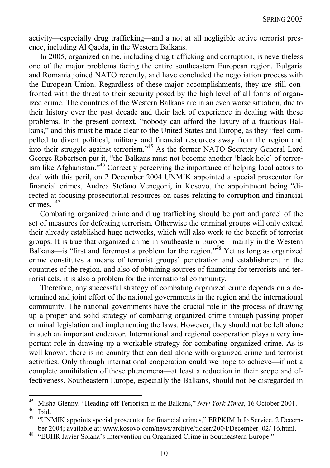activity—especially drug trafficking—and a not at all negligible active terrorist presence, including Al Qaeda, in the Western Balkans.

In 2005, organized crime, including drug trafficking and corruption, is nevertheless one of the major problems facing the entire southeastern European region. Bulgaria and Romania joined NATO recently, and have concluded the negotiation process with the European Union. Regardless of these major accomplishments, they are still confronted with the threat to their security posed by the high level of all forms of organized crime. The countries of the Western Balkans are in an even worse situation, due to their history over the past decade and their lack of experience in dealing with these problems. In the present context, "nobody can afford the luxury of a fractious Balkans," and this must be made clear to the United States and Europe, as they "feel compelled to divert political, military and financial resources away from the region and into their struggle against terrorism."<sup>45</sup> As the former NATO Secretary General Lord George Robertson put it, "the Balkans must not become another 'black hole' of terrorism like Afghanistan."46 Correctly perceiving the importance of helping local actors to deal with this peril, on 2 December 2004 UNMIK appointed a special prosecutor for financial crimes, Andrea Stefano Venegoni, in Kosovo, the appointment being "directed at focusing prosecutorial resources on cases relating to corruption and financial crimes<sup>"47</sup>

Combating organized crime and drug trafficking should be part and parcel of the set of measures for defeating terrorism. Otherwise the criminal groups will only extend their already established huge networks, which will also work to the benefit of terrorist groups. It is true that organized crime in southeastern Europe—mainly in the Western Balkans—is "first and foremost a problem for the region."<sup>48</sup> Yet as long as organized crime constitutes a means of terrorist groups' penetration and establishment in the countries of the region, and also of obtaining sources of financing for terrorists and terrorist acts, it is also a problem for the international community.

Therefore, any successful strategy of combating organized crime depends on a determined and joint effort of the national governments in the region and the international community. The national governments have the crucial role in the process of drawing up a proper and solid strategy of combating organized crime through passing proper criminal legislation and implementing the laws. However, they should not be left alone in such an important endeavor. International and regional cooperation plays a very important role in drawing up a workable strategy for combating organized crime. As is well known, there is no country that can deal alone with organized crime and terrorist activities. Only through international cooperation could we hope to achieve—if not a complete annihilation of these phenomena—at least a reduction in their scope and effectiveness. Southeastern Europe, especially the Balkans, should not be disregarded in

<sup>45</sup> <sup>45</sup> Misha Glenny, "Heading off Terrorism in the Balkans," *New York Times*, 16 October 2001.<br><sup>46</sup> Ibid.

<sup>&</sup>lt;sup>47</sup> "UNMIK appoints special prosecutor for financial crimes," ERPKIM Info Service, 2 December 2004; available at: www.kosovo.com/news/archive/ticker/2004/December\_02/ 16.html.<br>"EUHR Javier Solana's Intervention on Organized Crime in Southeastern Europe."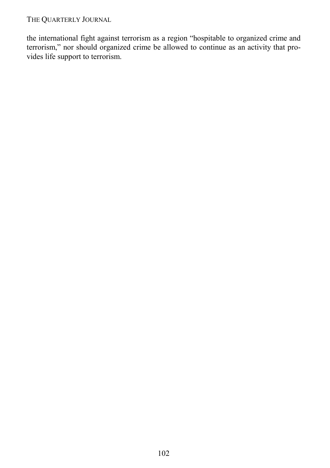THE QUARTERLY JOURNAL

the international fight against terrorism as a region "hospitable to organized crime and terrorism," nor should organized crime be allowed to continue as an activity that provides life support to terrorism.